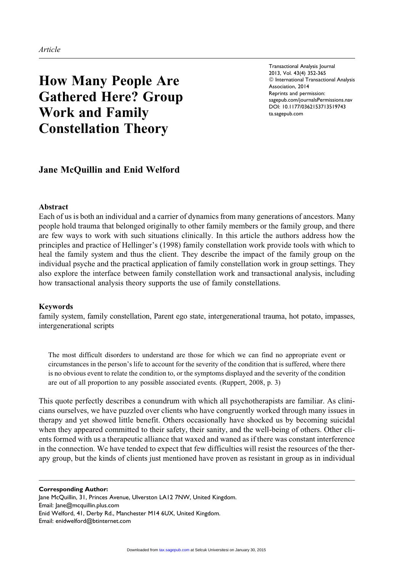# How Many People Are Gathered Here? Group Work and Family Constellation Theory

Transactional Analysis Journal 2013, Vol. 43(4) 352-365  $©$  International Transactional Analysis Association, 2014 Reprints and permission: [sagepub.com/journalsPermissions.nav](http://www.sagepub.com/journalsPermissions.nav) DOI: 10.1177/0362153713519743 [ta.sagepub.com](http://ta.sagepub.com)

# Jane McQuillin and Enid Welford

## Abstract

Each of us is both an individual and a carrier of dynamics from many generations of ancestors. Many people hold trauma that belonged originally to other family members or the family group, and there are few ways to work with such situations clinically. In this article the authors address how the principles and practice of Hellinger's (1998) family constellation work provide tools with which to heal the family system and thus the client. They describe the impact of the family group on the individual psyche and the practical application of family constellation work in group settings. They also explore the interface between family constellation work and transactional analysis, including how transactional analysis theory supports the use of family constellations.

## Keywords

family system, family constellation, Parent ego state, intergenerational trauma, hot potato, impasses, intergenerational scripts

The most difficult disorders to understand are those for which we can find no appropriate event or circumstances in the person's life to account for the severity of the condition that is suffered, where there is no obvious event to relate the condition to, or the symptoms displayed and the severity of the condition are out of all proportion to any possible associated events. (Ruppert, 2008, p. 3)

This quote perfectly describes a conundrum with which all psychotherapists are familiar. As clinicians ourselves, we have puzzled over clients who have congruently worked through many issues in therapy and yet showed little benefit. Others occasionally have shocked us by becoming suicidal when they appeared committed to their safety, their sanity, and the well-being of others. Other clients formed with us a therapeutic alliance that waxed and waned as if there was constant interference in the connection. We have tended to expect that few difficulties will resist the resources of the therapy group, but the kinds of clients just mentioned have proven as resistant in group as in individual

#### Corresponding Author:

Jane McQuillin, 31, Princes Avenue, Ulverston LA12 7NW, United Kingdom. Email: Jane@mcquillin.plus.com Enid Welford, 41, Derby Rd., Manchester M14 6UX, United Kingdom. Email: enidwelford@btinternet.com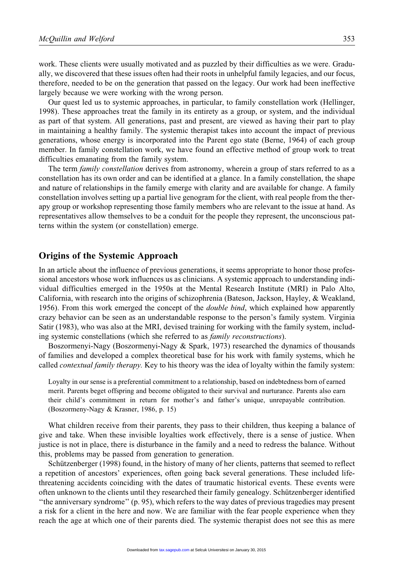work. These clients were usually motivated and as puzzled by their difficulties as we were. Gradually, we discovered that these issues often had their roots in unhelpful family legacies, and our focus, therefore, needed to be on the generation that passed on the legacy. Our work had been ineffective largely because we were working with the wrong person.

Our quest led us to systemic approaches, in particular, to family constellation work (Hellinger, 1998). These approaches treat the family in its entirety as a group, or system, and the individual as part of that system. All generations, past and present, are viewed as having their part to play in maintaining a healthy family. The systemic therapist takes into account the impact of previous generations, whose energy is incorporated into the Parent ego state (Berne, 1964) of each group member. In family constellation work, we have found an effective method of group work to treat difficulties emanating from the family system.

The term *family constellation* derives from astronomy, wherein a group of stars referred to as a constellation has its own order and can be identified at a glance. In a family constellation, the shape and nature of relationships in the family emerge with clarity and are available for change. A family constellation involves setting up a partial live genogram for the client, with real people from the therapy group or workshop representing those family members who are relevant to the issue at hand. As representatives allow themselves to be a conduit for the people they represent, the unconscious patterns within the system (or constellation) emerge.

# Origins of the Systemic Approach

In an article about the influence of previous generations, it seems appropriate to honor those professional ancestors whose work influences us as clinicians. A systemic approach to understanding individual difficulties emerged in the 1950s at the Mental Research Institute (MRI) in Palo Alto, California, with research into the origins of schizophrenia (Bateson, Jackson, Hayley, & Weakland, 1956). From this work emerged the concept of the *double bind*, which explained how apparently crazy behavior can be seen as an understandable response to the person's family system. Virginia Satir (1983), who was also at the MRI, devised training for working with the family system, including systemic constellations (which she referred to as family reconstructions).

Boszormenyi-Nagy (Boszormenyi-Nagy & Spark, 1973) researched the dynamics of thousands of families and developed a complex theoretical base for his work with family systems, which he called *contextual family therapy*. Key to his theory was the idea of loyalty within the family system:

Loyalty in our sense is a preferential commitment to a relationship, based on indebtedness born of earned merit. Parents beget offspring and become obligated to their survival and nurturance. Parents also earn their child's commitment in return for mother's and father's unique, unrepayable contribution. (Boszormeny-Nagy & Krasner, 1986, p. 15)

What children receive from their parents, they pass to their children, thus keeping a balance of give and take. When these invisible loyalties work effectively, there is a sense of justice. When justice is not in place, there is disturbance in the family and a need to redress the balance. Without this, problems may be passed from generation to generation.

Schützenberger (1998) found, in the history of many of her clients, patterns that seemed to reflect a repetition of ancestors' experiences, often going back several generations. These included lifethreatening accidents coinciding with the dates of traumatic historical events. These events were often unknown to the clients until they researched their family genealogy. Schützenberger identified ''the anniversary syndrome'' (p. 95), which refers to the way dates of previous tragedies may present a risk for a client in the here and now. We are familiar with the fear people experience when they reach the age at which one of their parents died. The systemic therapist does not see this as mere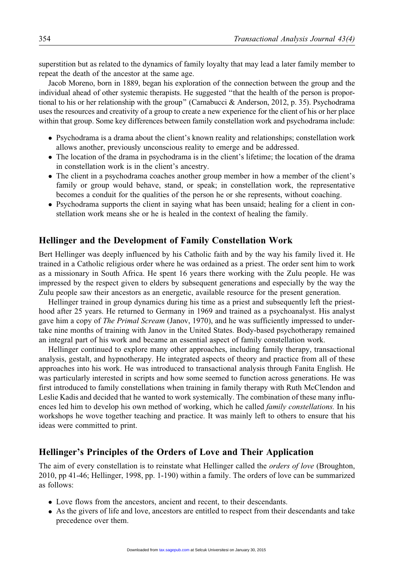superstition but as related to the dynamics of family loyalty that may lead a later family member to repeat the death of the ancestor at the same age.

Jacob Moreno, born in 1889, began his exploration of the connection between the group and the individual ahead of other systemic therapists. He suggested ''that the health of the person is proportional to his or her relationship with the group'' (Carnabucci & Anderson, 2012, p. 35). Psychodrama uses the resources and creativity of a group to create a new experience for the client of his or her place within that group. Some key differences between family constellation work and psychodrama include:

- Psychodrama is a drama about the client's known reality and relationships; constellation work allows another, previously unconscious reality to emerge and be addressed.
- The location of the drama in psychodrama is in the client's lifetime; the location of the drama in constellation work is in the client's ancestry.
- The client in a psychodrama coaches another group member in how a member of the client's family or group would behave, stand, or speak; in constellation work, the representative becomes a conduit for the qualities of the person he or she represents, without coaching.
- Psychodrama supports the client in saying what has been unsaid; healing for a client in constellation work means she or he is healed in the context of healing the family.

# Hellinger and the Development of Family Constellation Work

Bert Hellinger was deeply influenced by his Catholic faith and by the way his family lived it. He trained in a Catholic religious order where he was ordained as a priest. The order sent him to work as a missionary in South Africa. He spent 16 years there working with the Zulu people. He was impressed by the respect given to elders by subsequent generations and especially by the way the Zulu people saw their ancestors as an energetic, available resource for the present generation.

Hellinger trained in group dynamics during his time as a priest and subsequently left the priesthood after 25 years. He returned to Germany in 1969 and trained as a psychoanalyst. His analyst gave him a copy of The Primal Scream (Janov, 1970), and he was sufficiently impressed to undertake nine months of training with Janov in the United States. Body-based psychotherapy remained an integral part of his work and became an essential aspect of family constellation work.

Hellinger continued to explore many other approaches, including family therapy, transactional analysis, gestalt, and hypnotherapy. He integrated aspects of theory and practice from all of these approaches into his work. He was introduced to transactional analysis through Fanita English. He was particularly interested in scripts and how some seemed to function across generations. He was first introduced to family constellations when training in family therapy with Ruth McClendon and Leslie Kadis and decided that he wanted to work systemically. The combination of these many influences led him to develop his own method of working, which he called *family constellations*. In his workshops he wove together teaching and practice. It was mainly left to others to ensure that his ideas were committed to print.

## Hellinger's Principles of the Orders of Love and Their Application

The aim of every constellation is to reinstate what Hellinger called the *orders of love* (Broughton, 2010, pp 41-46; Hellinger, 1998, pp. 1-190) within a family. The orders of love can be summarized as follows:

- Love flows from the ancestors, ancient and recent, to their descendants.
- As the givers of life and love, ancestors are entitled to respect from their descendants and take precedence over them.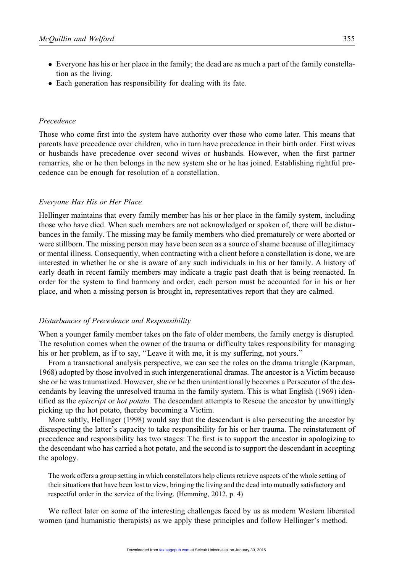- Everyone has his or her place in the family; the dead are as much a part of the family constellation as the living.
- Each generation has responsibility for dealing with its fate.

# Precedence

Those who come first into the system have authority over those who come later. This means that parents have precedence over children, who in turn have precedence in their birth order. First wives or husbands have precedence over second wives or husbands. However, when the first partner remarries, she or he then belongs in the new system she or he has joined. Establishing rightful precedence can be enough for resolution of a constellation.

#### Everyone Has His or Her Place

Hellinger maintains that every family member has his or her place in the family system, including those who have died. When such members are not acknowledged or spoken of, there will be disturbances in the family. The missing may be family members who died prematurely or were aborted or were stillborn. The missing person may have been seen as a source of shame because of illegitimacy or mental illness. Consequently, when contracting with a client before a constellation is done, we are interested in whether he or she is aware of any such individuals in his or her family. A history of early death in recent family members may indicate a tragic past death that is being reenacted. In order for the system to find harmony and order, each person must be accounted for in his or her place, and when a missing person is brought in, representatives report that they are calmed.

## Disturbances of Precedence and Responsibility

When a younger family member takes on the fate of older members, the family energy is disrupted. The resolution comes when the owner of the trauma or difficulty takes responsibility for managing his or her problem, as if to say, "Leave it with me, it is my suffering, not yours."

From a transactional analysis perspective, we can see the roles on the drama triangle (Karpman, 1968) adopted by those involved in such intergenerational dramas. The ancestor is a Victim because she or he was traumatized. However, she or he then unintentionally becomes a Persecutor of the descendants by leaving the unresolved trauma in the family system. This is what English (1969) identified as the *episcript* or *hot potato*. The descendant attempts to Rescue the ancestor by unwittingly picking up the hot potato, thereby becoming a Victim.

More subtly, Hellinger (1998) would say that the descendant is also persecuting the ancestor by disrespecting the latter's capacity to take responsibility for his or her trauma. The reinstatement of precedence and responsibility has two stages: The first is to support the ancestor in apologizing to the descendant who has carried a hot potato, and the second is to support the descendant in accepting the apology.

The work offers a group setting in which constellators help clients retrieve aspects of the whole setting of their situations that have been lost to view, bringing the living and the dead into mutually satisfactory and respectful order in the service of the living. (Hemming, 2012, p. 4)

We reflect later on some of the interesting challenges faced by us as modern Western liberated women (and humanistic therapists) as we apply these principles and follow Hellinger's method.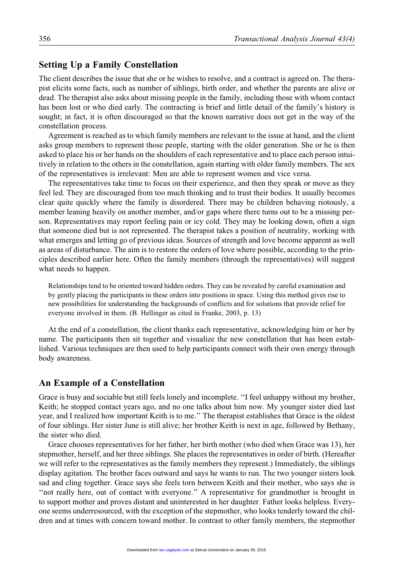# Setting Up a Family Constellation

The client describes the issue that she or he wishes to resolve, and a contract is agreed on. The therapist elicits some facts, such as number of siblings, birth order, and whether the parents are alive or dead. The therapist also asks about missing people in the family, including those with whom contact has been lost or who died early. The contracting is brief and little detail of the family's history is sought; in fact, it is often discouraged so that the known narrative does not get in the way of the constellation process.

Agreement is reached as to which family members are relevant to the issue at hand, and the client asks group members to represent those people, starting with the older generation. She or he is then asked to place his or her hands on the shoulders of each representative and to place each person intuitively in relation to the others in the constellation, again starting with older family members. The sex of the representatives is irrelevant: Men are able to represent women and vice versa.

The representatives take time to focus on their experience, and then they speak or move as they feel led. They are discouraged from too much thinking and to trust their bodies. It usually becomes clear quite quickly where the family is disordered. There may be children behaving riotously, a member leaning heavily on another member, and/or gaps where there turns out to be a missing person. Representatives may report feeling pain or icy cold. They may be looking down, often a sign that someone died but is not represented. The therapist takes a position of neutrality, working with what emerges and letting go of previous ideas. Sources of strength and love become apparent as well as areas of disturbance. The aim is to restore the orders of love where possible, according to the principles described earlier here. Often the family members (through the representatives) will suggest what needs to happen.

Relationships tend to be oriented toward hidden orders. They can be revealed by careful examination and by gently placing the participants in these orders into positions in space. Using this method gives rise to new possibilities for understanding the backgrounds of conflicts and for solutions that provide relief for everyone involved in them. (B. Hellinger as cited in Franke, 2003, p. 13)

At the end of a constellation, the client thanks each representative, acknowledging him or her by name. The participants then sit together and visualize the new constellation that has been established. Various techniques are then used to help participants connect with their own energy through body awareness.

## An Example of a Constellation

Grace is busy and sociable but still feels lonely and incomplete. ''I feel unhappy without my brother, Keith; he stopped contact years ago, and no one talks about him now. My younger sister died last year, and I realized how important Keith is to me.'' The therapist establishes that Grace is the oldest of four siblings. Her sister June is still alive; her brother Keith is next in age, followed by Bethany, the sister who died.

Grace chooses representatives for her father, her birth mother (who died when Grace was 13), her stepmother, herself, and her three siblings. She places the representatives in order of birth. (Hereafter we will refer to the representatives as the family members they represent.) Immediately, the siblings display agitation. The brother faces outward and says he wants to run. The two younger sisters look sad and cling together. Grace says she feels torn between Keith and their mother, who says she is "not really here, out of contact with everyone." A representative for grandmother is brought in to support mother and proves distant and uninterested in her daughter. Father looks helpless. Everyone seems underresourced, with the exception of the stepmother, who looks tenderly toward the children and at times with concern toward mother. In contrast to other family members, the stepmother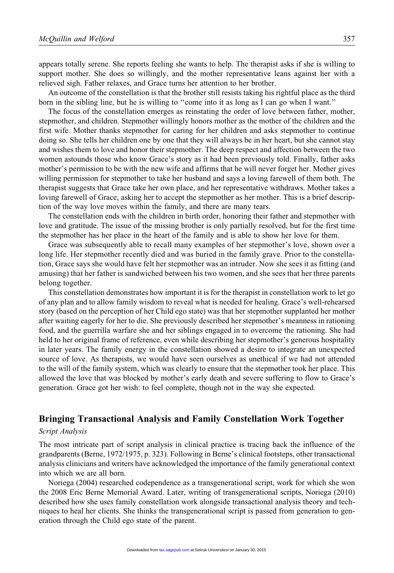appears totally serene. She reports feeling she wants to help. The therapist asks if she is willing to support mother. She does so willingly, and the mother representative leans against her with a relieved sigh. Father relaxes, and Grace turns her attention to her brother.

An outcome of the constellation is that the brother still resists taking his rightful place as the third born in the sibling line, but he is willing to ''come into it as long as I can go when I want.''

The focus of the constellation emerges as reinstating the order of love between father, mother, stepmother, and children. Stepmother willingly honors mother as the mother of the children and the first wife. Mother thanks stepmother for caring for her children and asks stepmother to continue doing so. She tells her children one by one that they will always be in her heart, but she cannot stay and wishes them to love and honor their stepmother. The deep respect and affection between the two women astounds those who know Grace's story as it had been previously told. Finally, father asks mother's permission to be with the new wife and affirms that he will never forget her. Mother gives willing permission for stepmother to take her husband and says a loving farewell of them both. The therapist suggests that Grace take her own place, and her representative withdraws. Mother takes a loving farewell of Grace, asking her to accept the stepmother as her mother. This is a brief description of the way love moves within the family, and there are many tears.

The constellation ends with the children in birth order, honoring their father and stepmother with love and gratitude. The issue of the missing brother is only partially resolved, but for the first time the stepmother has her place in the heart of the family and is able to show her love for them.

Grace was subsequently able to recall many examples of her stepmother's love, shown over a long life. Her stepmother recently died and was buried in the family grave. Prior to the constellation, Grace says she would have felt her stepmother was an intruder. Now she sees it as fitting (and amusing) that her father is sandwiched between his two women, and she sees that her three parents belong together.

This constellation demonstrates how important it is for the therapist in constellation work to let go of any plan and to allow family wisdom to reveal what is needed for healing. Grace's well-rehearsed story (based on the perception of her Child ego state) was that her stepmother supplanted her mother after waiting eagerly for her to die. She previously described her stepmother's meanness in rationing food, and the guerrilla warfare she and her siblings engaged in to overcome the rationing. She had held to her original frame of reference, even while describing her stepmother's generous hospitality in later years. The family energy in the constellation showed a desire to integrate an unexpected source of love. As therapists, we would have seen ourselves as unethical if we had not attended to the will of the family system, which was clearly to ensure that the stepmother took her place. This allowed the love that was blocked by mother's early death and severe suffering to flow to Grace's generation. Grace got her wish: to feel complete, though not in the way she expected.

# Bringing Transactional Analysis and Family Constellation Work Together

## Script Analysis

The most intricate part of script analysis in clinical practice is tracing back the influence of the grandparents (Berne, 1972/1975, p. 323). Following in Berne's clinical footsteps, other transactional analysis clinicians and writers have acknowledged the importance of the family generational context into which we are all born.

Noriega (2004) researched codependence as a transgenerational script, work for which she won the 2008 Eric Berne Memorial Award. Later, writing of transgenerational scripts, Noriega (2010) described how she uses family constellation work alongside transactional analysis theory and techniques to heal her clients. She thinks the transgenerational script is passed from generation to generation through the Child ego state of the parent.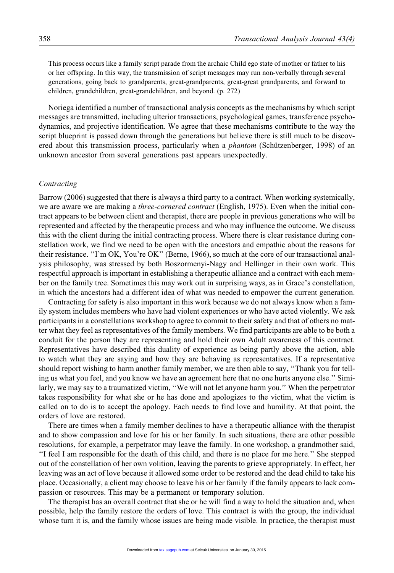This process occurs like a family script parade from the archaic Child ego state of mother or father to his or her offspring. In this way, the transmission of script messages may run non-verbally through several generations, going back to grandparents, great-grandparents, great-great grandparents, and forward to children, grandchildren, great-grandchildren, and beyond. (p. 272)

Noriega identified a number of transactional analysis concepts as the mechanisms by which script messages are transmitted, including ulterior transactions, psychological games, transference psychodynamics, and projective identification. We agree that these mechanisms contribute to the way the script blueprint is passed down through the generations but believe there is still much to be discovered about this transmission process, particularly when a *phantom* (Schützenberger, 1998) of an unknown ancestor from several generations past appears unexpectedly.

## Contracting

Barrow (2006) suggested that there is always a third party to a contract. When working systemically, we are aware we are making a *three-cornered contract* (English, 1975). Even when the initial contract appears to be between client and therapist, there are people in previous generations who will be represented and affected by the therapeutic process and who may influence the outcome. We discuss this with the client during the initial contracting process. Where there is clear resistance during constellation work, we find we need to be open with the ancestors and empathic about the reasons for their resistance. ''I'm OK, You're OK'' (Berne, 1966), so much at the core of our transactional analysis philosophy, was stressed by both Boszormenyi-Nagy and Hellinger in their own work. This respectful approach is important in establishing a therapeutic alliance and a contract with each member on the family tree. Sometimes this may work out in surprising ways, as in Grace's constellation, in which the ancestors had a different idea of what was needed to empower the current generation.

Contracting for safety is also important in this work because we do not always know when a family system includes members who have had violent experiences or who have acted violently. We ask participants in a constellations workshop to agree to commit to their safety and that of others no matter what they feel as representatives of the family members. We find participants are able to be both a conduit for the person they are representing and hold their own Adult awareness of this contract. Representatives have described this duality of experience as being partly above the action, able to watch what they are saying and how they are behaving as representatives. If a representative should report wishing to harm another family member, we are then able to say, ''Thank you for telling us what you feel, and you know we have an agreement here that no one hurts anyone else.'' Similarly, we may say to a traumatized victim, ''We will not let anyone harm you.'' When the perpetrator takes responsibility for what she or he has done and apologizes to the victim, what the victim is called on to do is to accept the apology. Each needs to find love and humility. At that point, the orders of love are restored.

There are times when a family member declines to have a therapeutic alliance with the therapist and to show compassion and love for his or her family. In such situations, there are other possible resolutions, for example, a perpetrator may leave the family. In one workshop, a grandmother said, ''I feel I am responsible for the death of this child, and there is no place for me here.'' She stepped out of the constellation of her own volition, leaving the parents to grieve appropriately. In effect, her leaving was an act of love because it allowed some order to be restored and the dead child to take his place. Occasionally, a client may choose to leave his or her family if the family appears to lack compassion or resources. This may be a permanent or temporary solution.

The therapist has an overall contract that she or he will find a way to hold the situation and, when possible, help the family restore the orders of love. This contract is with the group, the individual whose turn it is, and the family whose issues are being made visible. In practice, the therapist must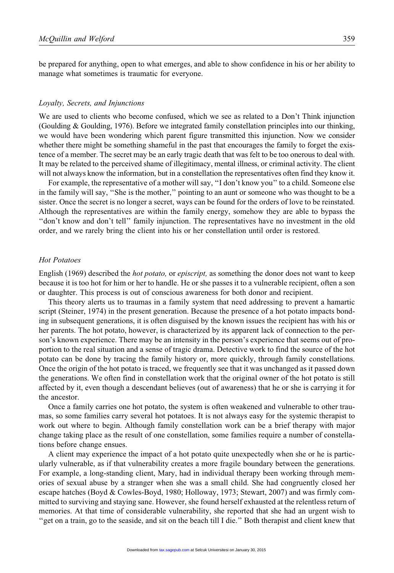be prepared for anything, open to what emerges, and able to show confidence in his or her ability to manage what sometimes is traumatic for everyone.

#### Loyalty, Secrets, and Injunctions

We are used to clients who become confused, which we see as related to a Don't Think injunction (Goulding & Goulding, 1976). Before we integrated family constellation principles into our thinking, we would have been wondering which parent figure transmitted this injunction. Now we consider whether there might be something shameful in the past that encourages the family to forget the existence of a member. The secret may be an early tragic death that was felt to be too onerous to deal with. It may be related to the perceived shame of illegitimacy, mental illness, or criminal activity. The client will not always know the information, but in a constellation the representatives often find they know it.

For example, the representative of a mother will say, "I don't know you" to a child. Someone else in the family will say, ''She is the mother,'' pointing to an aunt or someone who was thought to be a sister. Once the secret is no longer a secret, ways can be found for the orders of love to be reinstated. Although the representatives are within the family energy, somehow they are able to bypass the ''don't know and don't tell'' family injunction. The representatives have no investment in the old order, and we rarely bring the client into his or her constellation until order is restored.

## Hot Potatoes

English (1969) described the hot potato, or episcript, as something the donor does not want to keep because it is too hot for him or her to handle. He or she passes it to a vulnerable recipient, often a son or daughter. This process is out of conscious awareness for both donor and recipient.

This theory alerts us to traumas in a family system that need addressing to prevent a hamartic script (Steiner, 1974) in the present generation. Because the presence of a hot potato impacts bonding in subsequent generations, it is often disguised by the known issues the recipient has with his or her parents. The hot potato, however, is characterized by its apparent lack of connection to the person's known experience. There may be an intensity in the person's experience that seems out of proportion to the real situation and a sense of tragic drama. Detective work to find the source of the hot potato can be done by tracing the family history or, more quickly, through family constellations. Once the origin of the hot potato is traced, we frequently see that it was unchanged as it passed down the generations. We often find in constellation work that the original owner of the hot potato is still affected by it, even though a descendant believes (out of awareness) that he or she is carrying it for the ancestor.

Once a family carries one hot potato, the system is often weakened and vulnerable to other traumas, so some families carry several hot potatoes. It is not always easy for the systemic therapist to work out where to begin. Although family constellation work can be a brief therapy with major change taking place as the result of one constellation, some families require a number of constellations before change ensues.

A client may experience the impact of a hot potato quite unexpectedly when she or he is particularly vulnerable, as if that vulnerability creates a more fragile boundary between the generations. For example, a long-standing client, Mary, had in individual therapy been working through memories of sexual abuse by a stranger when she was a small child. She had congruently closed her escape hatches (Boyd & Cowles-Boyd, 1980; Holloway, 1973; Stewart, 2007) and was firmly committed to surviving and staying sane. However, she found herself exhausted at the relentless return of memories. At that time of considerable vulnerability, she reported that she had an urgent wish to ''get on a train, go to the seaside, and sit on the beach till I die.'' Both therapist and client knew that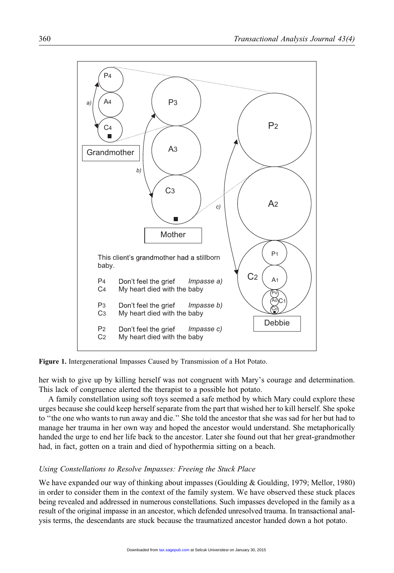

Figure 1. Intergenerational Impasses Caused by Transmission of a Hot Potato.

her wish to give up by killing herself was not congruent with Mary's courage and determination. This lack of congruence alerted the therapist to a possible hot potato.

A family constellation using soft toys seemed a safe method by which Mary could explore these urges because she could keep herself separate from the part that wished her to kill herself. She spoke to ''the one who wants to run away and die.'' She told the ancestor that she was sad for her but had to manage her trauma in her own way and hoped the ancestor would understand. She metaphorically handed the urge to end her life back to the ancestor. Later she found out that her great-grandmother had, in fact, gotten on a train and died of hypothermia sitting on a beach.

## Using Constellations to Resolve Impasses: Freeing the Stuck Place

We have expanded our way of thinking about impasses (Goulding & Goulding, 1979; Mellor, 1980) in order to consider them in the context of the family system. We have observed these stuck places being revealed and addressed in numerous constellations. Such impasses developed in the family as a result of the original impasse in an ancestor, which defended unresolved trauma. In transactional analysis terms, the descendants are stuck because the traumatized ancestor handed down a hot potato.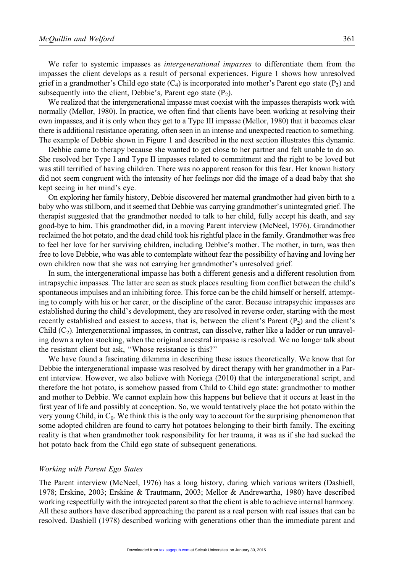We refer to systemic impasses as *intergenerational impasses* to differentiate them from the impasses the client develops as a result of personal experiences. Figure 1 shows how unresolved grief in a grandmother's Child ego state  $(C_4)$  is incorporated into mother's Parent ego state  $(P_3)$  and subsequently into the client, Debbie's, Parent ego state  $(P_2)$ .

We realized that the intergenerational impasse must coexist with the impasses therapists work with normally (Mellor, 1980). In practice, we often find that clients have been working at resolving their own impasses, and it is only when they get to a Type III impasse (Mellor, 1980) that it becomes clear there is additional resistance operating, often seen in an intense and unexpected reaction to something. The example of Debbie shown in Figure 1 and described in the next section illustrates this dynamic.

Debbie came to therapy because she wanted to get close to her partner and felt unable to do so. She resolved her Type I and Type II impasses related to commitment and the right to be loved but was still terrified of having children. There was no apparent reason for this fear. Her known history did not seem congruent with the intensity of her feelings nor did the image of a dead baby that she kept seeing in her mind's eye.

On exploring her family history, Debbie discovered her maternal grandmother had given birth to a baby who was stillborn, and it seemed that Debbie was carrying grandmother's unintegrated grief. The therapist suggested that the grandmother needed to talk to her child, fully accept his death, and say good-bye to him. This grandmother did, in a moving Parent interview (McNeel, 1976). Grandmother reclaimed the hot potato, and the dead child took his rightful place in the family. Grandmother was free to feel her love for her surviving children, including Debbie's mother. The mother, in turn, was then free to love Debbie, who was able to contemplate without fear the possibility of having and loving her own children now that she was not carrying her grandmother's unresolved grief.

In sum, the intergenerational impasse has both a different genesis and a different resolution from intrapsychic impasses. The latter are seen as stuck places resulting from conflict between the child's spontaneous impulses and an inhibiting force. This force can be the child himself or herself, attempting to comply with his or her carer, or the discipline of the carer. Because intrapsychic impasses are established during the child's development, they are resolved in reverse order, starting with the most recently established and easiest to access, that is, between the client's Parent  $(P_2)$  and the client's Child  $(C_2)$ . Intergenerational impasses, in contrast, can dissolve, rather like a ladder or run unraveling down a nylon stocking, when the original ancestral impasse is resolved. We no longer talk about the resistant client but ask, ''Whose resistance is this?''

We have found a fascinating dilemma in describing these issues theoretically. We know that for Debbie the intergenerational impasse was resolved by direct therapy with her grandmother in a Parent interview. However, we also believe with Noriega (2010) that the intergenerational script, and therefore the hot potato, is somehow passed from Child to Child ego state: grandmother to mother and mother to Debbie. We cannot explain how this happens but believe that it occurs at least in the first year of life and possibly at conception. So, we would tentatively place the hot potato within the very young Child, in C0. We think this is the only way to account for the surprising phenomenon that some adopted children are found to carry hot potatoes belonging to their birth family. The exciting reality is that when grandmother took responsibility for her trauma, it was as if she had sucked the hot potato back from the Child ego state of subsequent generations.

#### Working with Parent Ego States

The Parent interview (McNeel, 1976) has a long history, during which various writers (Dashiell, 1978; Erskine, 2003; Erskine & Trautmann, 2003; Mellor & Andrewartha, 1980) have described working respectfully with the introjected parent so that the client is able to achieve internal harmony. All these authors have described approaching the parent as a real person with real issues that can be resolved. Dashiell (1978) described working with generations other than the immediate parent and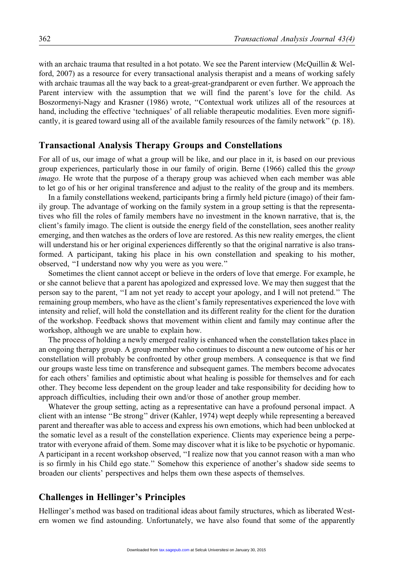with an archaic trauma that resulted in a hot potato. We see the Parent interview (McQuillin & Welford, 2007) as a resource for every transactional analysis therapist and a means of working safely with archaic traumas all the way back to a great-great-grandparent or even further. We approach the Parent interview with the assumption that we will find the parent's love for the child. As Boszormenyi-Nagy and Krasner (1986) wrote, ''Contextual work utilizes all of the resources at hand, including the effective 'techniques' of all reliable therapeutic modalities. Even more significantly, it is geared toward using all of the available family resources of the family network'' (p. 18).

## Transactional Analysis Therapy Groups and Constellations

For all of us, our image of what a group will be like, and our place in it, is based on our previous group experiences, particularly those in our family of origin. Berne (1966) called this the group imago. He wrote that the purpose of a therapy group was achieved when each member was able to let go of his or her original transference and adjust to the reality of the group and its members.

In a family constellations weekend, participants bring a firmly held picture (imago) of their family group. The advantage of working on the family system in a group setting is that the representatives who fill the roles of family members have no investment in the known narrative, that is, the client's family imago. The client is outside the energy field of the constellation, sees another reality emerging, and then watches as the orders of love are restored. As this new reality emerges, the client will understand his or her original experiences differently so that the original narrative is also transformed. A participant, taking his place in his own constellation and speaking to his mother, observed, ''I understand now why you were as you were.''

Sometimes the client cannot accept or believe in the orders of love that emerge. For example, he or she cannot believe that a parent has apologized and expressed love. We may then suggest that the person say to the parent, ''I am not yet ready to accept your apology, and I will not pretend.'' The remaining group members, who have as the client's family representatives experienced the love with intensity and relief, will hold the constellation and its different reality for the client for the duration of the workshop. Feedback shows that movement within client and family may continue after the workshop, although we are unable to explain how.

The process of holding a newly emerged reality is enhanced when the constellation takes place in an ongoing therapy group. A group member who continues to discount a new outcome of his or her constellation will probably be confronted by other group members. A consequence is that we find our groups waste less time on transference and subsequent games. The members become advocates for each others' families and optimistic about what healing is possible for themselves and for each other. They become less dependent on the group leader and take responsibility for deciding how to approach difficulties, including their own and/or those of another group member.

Whatever the group setting, acting as a representative can have a profound personal impact. A client with an intense ''Be strong'' driver (Kahler, 1974) wept deeply while representing a bereaved parent and thereafter was able to access and express his own emotions, which had been unblocked at the somatic level as a result of the constellation experience. Clients may experience being a perpetrator with everyone afraid of them. Some may discover what it is like to be psychotic or hypomanic. A participant in a recent workshop observed, ''I realize now that you cannot reason with a man who is so firmly in his Child ego state.'' Somehow this experience of another's shadow side seems to broaden our clients' perspectives and helps them own these aspects of themselves.

## Challenges in Hellinger's Principles

Hellinger's method was based on traditional ideas about family structures, which as liberated Western women we find astounding. Unfortunately, we have also found that some of the apparently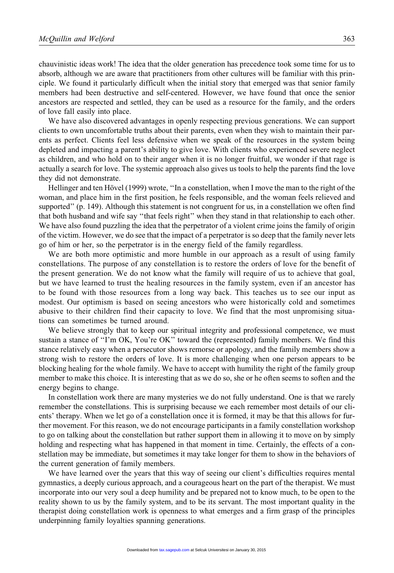chauvinistic ideas work! The idea that the older generation has precedence took some time for us to absorb, although we are aware that practitioners from other cultures will be familiar with this principle. We found it particularly difficult when the initial story that emerged was that senior family members had been destructive and self-centered. However, we have found that once the senior ancestors are respected and settled, they can be used as a resource for the family, and the orders of love fall easily into place.

We have also discovered advantages in openly respecting previous generations. We can support clients to own uncomfortable truths about their parents, even when they wish to maintain their parents as perfect. Clients feel less defensive when we speak of the resources in the system being depleted and impacting a parent's ability to give love. With clients who experienced severe neglect as children, and who hold on to their anger when it is no longer fruitful, we wonder if that rage is actually a search for love. The systemic approach also gives us tools to help the parents find the love they did not demonstrate.

Hellinger and ten Hövel (1999) wrote, "In a constellation, when I move the man to the right of the woman, and place him in the first position, he feels responsible, and the woman feels relieved and supported'' (p. 149). Although this statement is not congruent for us, in a constellation we often find that both husband and wife say ''that feels right'' when they stand in that relationship to each other. We have also found puzzling the idea that the perpetrator of a violent crime joins the family of origin of the victim. However, we do see that the impact of a perpetrator is so deep that the family never lets go of him or her, so the perpetrator is in the energy field of the family regardless.

We are both more optimistic and more humble in our approach as a result of using family constellations. The purpose of any constellation is to restore the orders of love for the benefit of the present generation. We do not know what the family will require of us to achieve that goal, but we have learned to trust the healing resources in the family system, even if an ancestor has to be found with those resources from a long way back. This teaches us to see our input as modest. Our optimism is based on seeing ancestors who were historically cold and sometimes abusive to their children find their capacity to love. We find that the most unpromising situations can sometimes be turned around.

We believe strongly that to keep our spiritual integrity and professional competence, we must sustain a stance of "I'm OK, You're OK" toward the (represented) family members. We find this stance relatively easy when a persecutor shows remorse or apology, and the family members show a strong wish to restore the orders of love. It is more challenging when one person appears to be blocking healing for the whole family. We have to accept with humility the right of the family group member to make this choice. It is interesting that as we do so, she or he often seems to soften and the energy begins to change.

In constellation work there are many mysteries we do not fully understand. One is that we rarely remember the constellations. This is surprising because we each remember most details of our clients' therapy. When we let go of a constellation once it is formed, it may be that this allows for further movement. For this reason, we do not encourage participants in a family constellation workshop to go on talking about the constellation but rather support them in allowing it to move on by simply holding and respecting what has happened in that moment in time. Certainly, the effects of a constellation may be immediate, but sometimes it may take longer for them to show in the behaviors of the current generation of family members.

We have learned over the years that this way of seeing our client's difficulties requires mental gymnastics, a deeply curious approach, and a courageous heart on the part of the therapist. We must incorporate into our very soul a deep humility and be prepared not to know much, to be open to the reality shown to us by the family system, and to be its servant. The most important quality in the therapist doing constellation work is openness to what emerges and a firm grasp of the principles underpinning family loyalties spanning generations.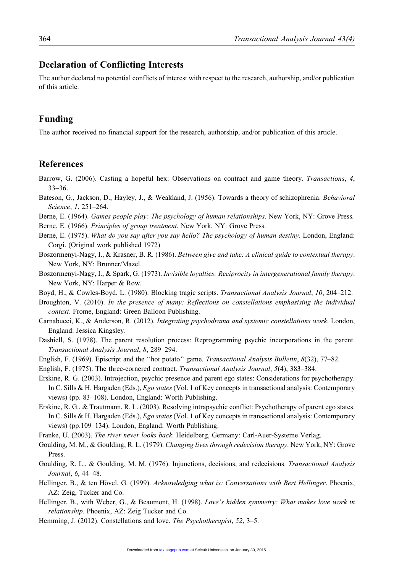# Declaration of Conflicting Interests

The author declared no potential conflicts of interest with respect to the research, authorship, and/or publication of this article.

# Funding

The author received no financial support for the research, authorship, and/or publication of this article.

# References

- Barrow, G. (2006). Casting a hopeful hex: Observations on contract and game theory. Transactions, 4, 33–36.
- Bateson, G., Jackson, D., Hayley, J., & Weakland, J. (1956). Towards a theory of schizophrenia. Behavioral Science, 1, 251–264.
- Berne, E. (1964). Games people play: The psychology of human relationships. New York, NY: Grove Press.

Berne, E. (1966). Principles of group treatment. New York, NY: Grove Press.

- Berne, E. (1975). What do you say after you say hello? The psychology of human destiny. London, England: Corgi. (Original work published 1972)
- Boszormenyi-Nagy, I., & Krasner, B. R. (1986). Between give and take: A clinical guide to contextual therapy. New York, NY: Brunner/Mazel.
- Boszormenyi-Nagy, I., & Spark, G. (1973). Invisible loyalties: Reciprocity in intergenerational family therapy. New York, NY: Harper & Row.
- Boyd, H., & Cowles-Boyd, L. (1980). Blocking tragic scripts. Transactional Analysis Journal, 10, 204–212.
- Broughton, V. (2010). In the presence of many: Reflections on constellations emphasising the individual context. Frome, England: Green Balloon Publishing.
- Carnabucci, K., & Anderson, R. (2012). Integrating psychodrama and systemic constellations work. London, England: Jessica Kingsley.
- Dashiell, S. (1978). The parent resolution process: Reprogramming psychic incorporations in the parent. Transactional Analysis Journal, 8, 289–294.
- English, F. (1969). Episcript and the ''hot potato'' game. Transactional Analysis Bulletin, 8(32), 77–82.
- English, F. (1975). The three-cornered contract. Transactional Analysis Journal, 5(4), 383–384.
- Erskine, R. G. (2003). Introjection, psychic presence and parent ego states: Considerations for psychotherapy. In C. Sills & H. Hargaden (Eds.), Ego states (Vol. 1 of Key concepts in transactional analysis: Contemporary views) (pp. 83–108). London, England: Worth Publishing.
- Erskine, R. G., & Trautmann, R. L. (2003). Resolving intrapsychic conflict: Psychotherapy of parent ego states. In C. Sills & H. Hargaden (Eds.), Ego states (Vol. 1 of Key concepts in transactional analysis: Contemporary views) (pp.109–134). London, England: Worth Publishing.
- Franke, U. (2003). The river never looks back. Heidelberg, Germany: Carl-Auer-Systeme Verlag.
- Goulding, M. M., & Goulding, R. L. (1979). Changing lives through redecision therapy. New York, NY: Grove Press.
- Goulding, R. L., & Goulding, M. M. (1976). Injunctions, decisions, and redecisions. Transactional Analysis Journal, 6, 44–48.
- Hellinger, B., & ten Hövel, G. (1999). Acknowledging what is: Conversations with Bert Hellinger. Phoenix, AZ: Zeig, Tucker and Co.
- Hellinger, B., with Weber, G., & Beaumont, H. (1998). Love's hidden symmetry: What makes love work in relationship. Phoenix, AZ: Zeig Tucker and Co.
- Hemming, J. (2012). Constellations and love. The Psychotherapist, 52, 3–5.